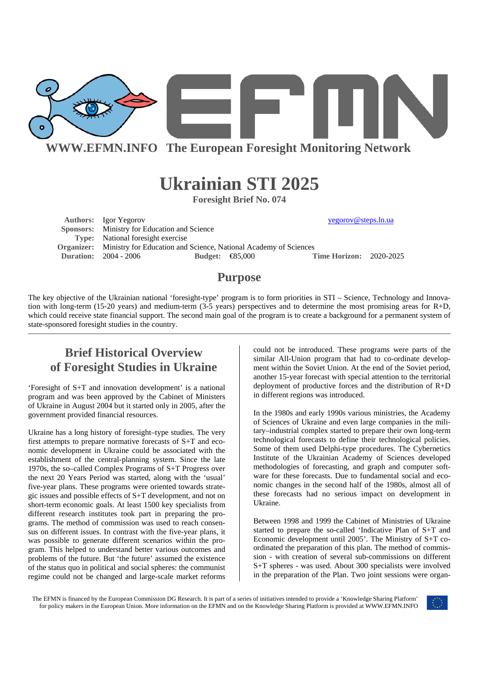

**WWW.EFMN.INFO The European Foresight Monitoring Network**

# **Ukrainian STI 2025**

**Foresight Brief No. 074** 

Authors: Igor Yegorov **yegorov** yegorov **yegorov yegorov yegorov yegorov yegorov yegorov yegorov yegorov yegorov yegorov yegorov yegorov yegorov yegorov yegorov yegorov yegorov yegorov y Sponsors:** Ministry for Education and Science **Type:** National foresight exercise **Organizer:** Ministry for Education and Science, National Academy of Sciences **Duration:** 2004 - 2006 **Budget:** €85,000 **Time Horizon:** 2020-2025

### **Purpose**

The key objective of the Ukrainian national 'foresight-type' program is to form priorities in STI – Science, Technology and Innovation with long-term (15-20 years) and medium-term (3-5 years) perspectives and to determine the most promising areas for  $R+D$ , which could receive state financial support. The second main goal of the program is to create a background for a permanent system of state-sponsored foresight studies in the country.

# **Brief Historical Overview of Foresight Studies in Ukraine**

'Foresight of S+T and innovation development' is a national program and was been approved by the Cabinet of Ministers of Ukraine in August 2004 but it started only in 2005, after the government provided financial resources.

Ukraine has a long history of foresight–type studies. The very first attempts to prepare normative forecasts of S+T and economic development in Ukraine could be associated with the establishment of the central-planning system. Since the late 1970s, the so–called Complex Programs of S+T Progress over the next 20 Years Period was started, along with the 'usual' five-year plans. These programs were oriented towards strategic issues and possible effects of S+T development, and not on short-term economic goals. At least 1500 key specialists from different research institutes took part in preparing the programs. The method of commission was used to reach consensus on different issues. In contrast with the five-year plans, it was possible to generate different scenarios within the program. This helped to understand better various outcomes and problems of the future. But 'the future' assumed the existence of the status quo in political and social spheres: the communist regime could not be changed and large-scale market reforms

could not be introduced. These programs were parts of the similar All-Union program that had to co-ordinate development within the Soviet Union. At the end of the Soviet period, another 15-year forecast with special attention to the territorial deployment of productive forces and the distribution of R+D in different regions was introduced.

In the 1980s and early 1990s various ministries, the Academy of Sciences of Ukraine and even large companies in the military–industrial complex started to prepare their own long-term technological forecasts to define their technological policies. Some of them used Delphi-type procedures. The Cybernetics Institute of the Ukrainian Academy of Sciences developed methodologies of forecasting, and graph and computer software for these forecasts. Due to fundamental social and economic changes in the second half of the 1980s, almost all of these forecasts had no serious impact on development in Ukraine.

Between 1998 and 1999 the Cabinet of Ministries of Ukraine started to prepare the so-called 'Indicative Plan of S+T and Economic development until 2005'. The Ministry of S+T coordinated the preparation of this plan. The method of commission - with creation of several sub-commissions on different S+T spheres - was used. About 300 specialists were involved in the preparation of the Plan. Two joint sessions were organ-

The EFMN is financed by the European Commission DG Research. It is part of a series of initiatives intended to provide a 'Knowledge Sharing Platform' for policy makers in the European Union. More information on the EFMN and on the Knowledge Sharing Platform is provided at WWW.EFMN.INFO

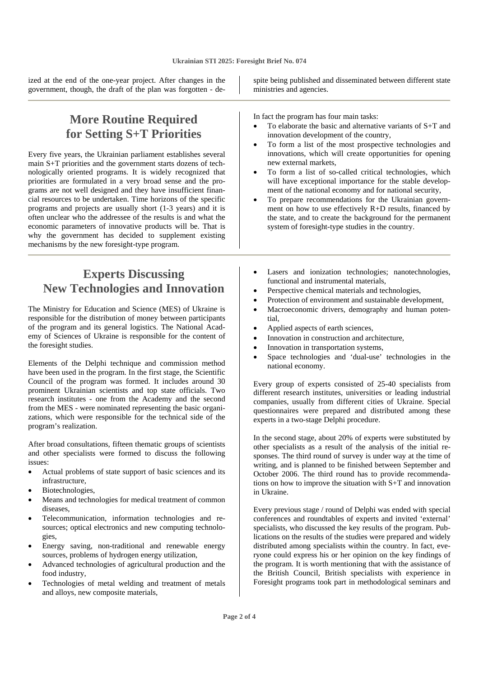ized at the end of the one-year project. After changes in the government, though, the draft of the plan was forgotten - de-

## **More Routine Required for Setting S+T Priorities**

Every five years, the Ukrainian parliament establishes several main S+T priorities and the government starts dozens of technologically oriented programs. It is widely recognized that priorities are formulated in a very broad sense and the programs are not well designed and they have insufficient financial resources to be undertaken. Time horizons of the specific programs and projects are usually short (1-3 years) and it is often unclear who the addressee of the results is and what the economic parameters of innovative products will be. That is why the government has decided to supplement existing mechanisms by the new foresight-type program.

# **Experts Discussing New Technologies and Innovation**

The Ministry for Education and Science (MES) of Ukraine is responsible for the distribution of money between participants of the program and its general logistics. The National Academy of Sciences of Ukraine is responsible for the content of the foresight studies.

Elements of the Delphi technique and commission method have been used in the program. In the first stage, the Scientific Council of the program was formed. It includes around 30 prominent Ukrainian scientists and top state officials. Two research institutes - one from the Academy and the second from the MES - were nominated representing the basic organizations, which were responsible for the technical side of the program's realization.

After broad consultations, fifteen thematic groups of scientists and other specialists were formed to discuss the following issues:

- Actual problems of state support of basic sciences and its infrastructure,
- Biotechnologies.
- Means and technologies for medical treatment of common diseases,
- Telecommunication, information technologies and resources; optical electronics and new computing technologies,
- Energy saving, non-traditional and renewable energy sources, problems of hydrogen energy utilization,
- Advanced technologies of agricultural production and the food industry,
- Technologies of metal welding and treatment of metals and alloys, new composite materials,

spite being published and disseminated between different state ministries and agencies.

In fact the program has four main tasks:

- To elaborate the basic and alternative variants of  $S+T$  and innovation development of the country,
- To form a list of the most prospective technologies and innovations, which will create opportunities for opening new external markets,
- To form a list of so-called critical technologies, which will have exceptional importance for the stable development of the national economy and for national security,
- To prepare recommendations for the Ukrainian government on how to use effectively R+D results, financed by the state, and to create the background for the permanent system of foresight-type studies in the country.
- Lasers and ionization technologies; nanotechnologies, functional and instrumental materials,
- Perspective chemical materials and technologies,
- Protection of environment and sustainable development,
- Macroeconomic drivers, demography and human potential,
- Applied aspects of earth sciences,
- Innovation in construction and architecture,
- Innovation in transportation systems,
- Space technologies and 'dual-use' technologies in the national economy.

Every group of experts consisted of 25-40 specialists from different research institutes, universities or leading industrial companies, usually from different cities of Ukraine. Special questionnaires were prepared and distributed among these experts in a two-stage Delphi procedure.

In the second stage, about 20% of experts were substituted by other specialists as a result of the analysis of the initial responses. The third round of survey is under way at the time of writing, and is planned to be finished between September and October 2006. The third round has to provide recommendations on how to improve the situation with S+T and innovation in Ukraine.

Every previous stage / round of Delphi was ended with special conferences and roundtables of experts and invited 'external' specialists, who discussed the key results of the program. Publications on the results of the studies were prepared and widely distributed among specialists within the country. In fact, everyone could express his or her opinion on the key findings of the program. It is worth mentioning that with the assistance of the British Council, British specialists with experience in Foresight programs took part in methodological seminars and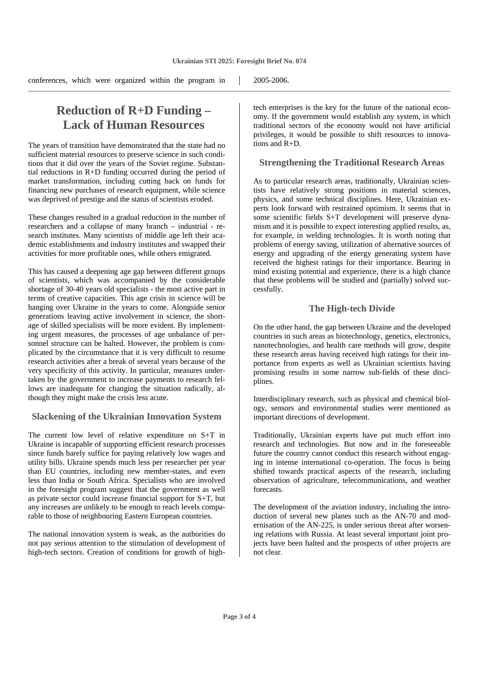conferences, which were organized within the program in 2005-2006.

## **Reduction of R+D Funding – Lack of Human Resources**

The years of transition have demonstrated that the state had no sufficient material resources to preserve science in such conditions that it did over the years of the Soviet regime. Substantial reductions in R+D funding occurred during the period of market transformation, including cutting back on funds for financing new purchases of research equipment, while science was deprived of prestige and the status of scientists eroded.

These changes resulted in a gradual reduction in the number of researchers and a collapse of many branch – industrial - research institutes. Many scientists of middle age left their academic establishments and industry institutes and swapped their activities for more profitable ones, while others emigrated.

This has caused a deepening age gap between different groups of scientists, which was accompanied by the considerable shortage of 30-40 years old specialists - the most active part in terms of creative capacities. This age crisis in science will be hanging over Ukraine in the years to come. Alongside senior generations leaving active involvement in science, the shortage of skilled specialists will be more evident. By implementing urgent measures, the processes of age unbalance of personnel structure can be halted. However, the problem is complicated by the circumstance that it is very difficult to resume research activities after a break of several years because of the very specificity of this activity. In particular, measures undertaken by the government to increase payments to research fellows are inadequate for changing the situation radically, although they might make the crisis less acute.

#### **Slackening of the Ukrainian Innovation System**

The current low level of relative expenditure on S+T in Ukraine is incapable of supporting efficient research processes since funds barely suffice for paying relatively low wages and utility bills. Ukraine spends much less per researcher per year than EU countries, including new member-states, and even less than India or South Africa. Specialists who are involved in the foresight program suggest that the government as well as private sector could increase financial support for S+T, but any increases are unlikely to be enough to reach levels comparable to those of neighbouring Eastern European countries.

The national innovation system is weak, as the authorities do not pay serious attention to the stimulation of development of high-tech sectors. Creation of conditions for growth of high-

tech enterprises is the key for the future of the national economy. If the government would establish any system, in which traditional sectors of the economy would not have artificial privileges, it would be possible to shift resources to innovations and R+D.

#### **Strengthening the Traditional Research Areas**

As to particular research areas, traditionally, Ukrainian scientists have relatively strong positions in material sciences, physics, and some technical disciplines. Here, Ukrainian experts look forward with restrained optimism. It seems that in some scientific fields S+T development will preserve dynamism and it is possible to expect interesting applied results, as, for example, in welding technologies. It is worth noting that problems of energy saving, utilization of alternative sources of energy and upgrading of the energy generating system have received the highest ratings for their importance. Bearing in mind existing potential and experience, there is a high chance that these problems will be studied and (partially) solved successfully.

#### **The High-tech Divide**

On the other hand, the gap between Ukraine and the developed countries in such areas as biotechnology, genetics, electronics, nanotechnologies, and health care methods will grow, despite these research areas having received high ratings for their importance from experts as well as Ukrainian scientists having promising results in some narrow sub-fields of these disciplines.

Interdisciplinary research, such as physical and chemical biology, sensors and environmental studies were mentioned as important directions of development.

Traditionally, Ukrainian experts have put much effort into research and technologies. But now and in the foreseeable future the country cannot conduct this research without engaging in intense international co-operation. The focus is being shifted towards practical aspects of the research, including observation of agriculture, telecommunications, and weather forecasts.

The development of the aviation industry, including the introduction of several new planes such as the AN-70 and modernisation of the  $AN-225$ , is under serious threat after worsening relations with Russia. At least several important joint projects have been halted and the prospects of other projects are not clear.